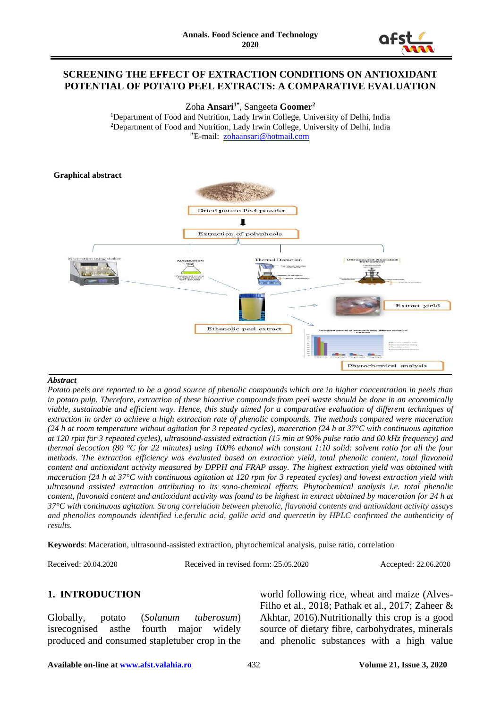

### **SCREENING THE EFFECT OF EXTRACTION CONDITIONS ON ANTIOXIDANT POTENTIAL OF POTATO PEEL EXTRACTS: A COMPARATIVE EVALUATION**

Zoha **Ansari1\*** , Sangeeta **Goomer<sup>2</sup>**

<sup>1</sup>Department of Food and Nutrition, Lady Irwin College, University of Delhi, India <sup>2</sup>Department of Food and Nutrition, Lady Irwin College, University of Delhi, India \*E-mail: [zohaansari@hotmail.com](mailto:zohaansari@hotmail.com)

#### **Graphical abstract**



#### *Abstract*

*Potato peels are reported to be a good source of phenolic compounds which are in higher concentration in peels than in potato pulp. Therefore, extraction of these bioactive compounds from peel waste should be done in an economically viable, sustainable and efficient way. Hence, this study aimed for a comparative evaluation of different techniques of extraction in order to achieve a high extraction rate of phenolic compounds. The methods compared were maceration (24 h at room temperature without agitation for 3 repeated cycles), maceration (24 h at 37°C with continuous agitation at 120 rpm for 3 repeated cycles), ultrasound-assisted extraction (15 min at 90% pulse ratio and 60 kHz frequency) and thermal decoction (80 °C for 22 minutes) using 100% ethanol with constant 1:10 solid: solvent ratio for all the four methods. The extraction efficiency was evaluated based on extraction yield, total phenolic content, total flavonoid content and antioxidant activity measured by DPPH and FRAP assay. The highest extraction yield was obtained with maceration (24 h at 37°C with continuous agitation at 120 rpm for 3 repeated cycles) and lowest extraction yield with ultrasound assisted extraction attributing to its sono-chemical effects. Phytochemical analysis i.e. total phenolic content, flavonoid content and antioxidant activity was found to be highest in extract obtained by maceration for 24 h at 37°C with continuous agitation. Strong correlation between phenolic, flavonoid contents and antioxidant activity assays and phenolics compounds identified i.e.ferulic acid, gallic acid and quercetin by HPLC confirmed the authenticity of results.*

**Keywords**: Maceration, ultrasound-assisted extraction, phytochemical analysis, pulse ratio, correlation

Received: 20.04.2020 Received in revised form: 25.05.2020 Accepted: 22.06.2020

## **1. INTRODUCTION**

Globally, potato (*Solanum tuberosum*) isrecognised asthe fourth major widely produced and consumed stapletuber crop in the

world following rice, wheat and maize (Alves-Filho et al., 2018; Pathak et al., 2017; Zaheer & Akhtar, 2016).Nutritionally this crop is a good source of dietary fibre, carbohydrates, minerals and phenolic substances with a high value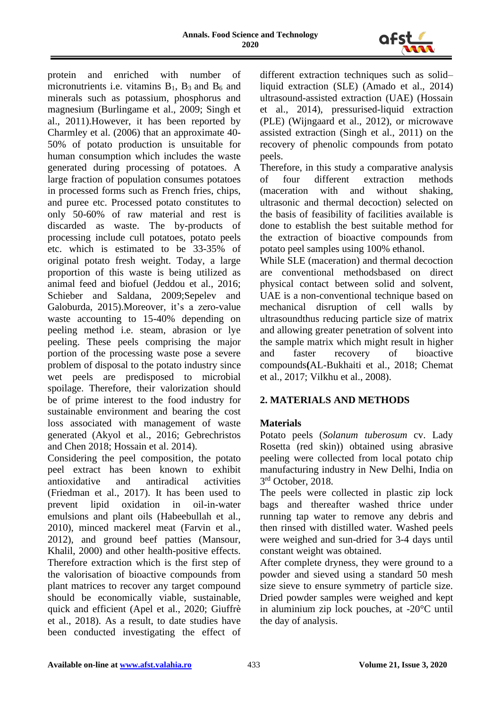

protein and enriched with number of micronutrients i.e. vitamins  $B_1$ ,  $B_3$  and  $B_6$  and minerals such as potassium, phosphorus and magnesium (Burlingame et al., 2009; Singh et al., 2011).However, it has been reported by Charmley et al. (2006) that an approximate 40- 50% of potato production is unsuitable for human consumption which includes the waste generated during processing of potatoes. A large fraction of population consumes potatoes in processed forms such as French fries, chips, and puree etc. Processed potato constitutes to only 50-60% of raw material and rest is discarded as waste. The by-products of processing include cull potatoes, potato peels etc. which is estimated to be 33-35% of original potato fresh weight. Today, a large proportion of this waste is being utilized as animal feed and biofuel (Jeddou et al., 2016; Schieber and Saldana, 2009;Sepelev and Galoburda, 2015).Moreover, it's a zero-value waste accounting to 15-40% depending on peeling method i.e. steam, abrasion or lye peeling. These peels comprising the major portion of the processing waste pose a severe problem of disposal to the potato industry since wet peels are predisposed to microbial spoilage. Therefore, their valorization should be of prime interest to the food industry for sustainable environment and bearing the cost loss associated with management of waste generated (Akyol et al., 2016; Gebrechristos and Chen 2018; Hossain et al. 2014).

Considering the peel composition, the potato peel extract has been known to exhibit antioxidative and antiradical activities (Friedman et al., 2017). It has been used to prevent lipid oxidation in oil-in-water emulsions and plant oils (Habeebullah et al., 2010), minced mackerel meat (Farvin et al., 2012), and ground beef patties (Mansour, Khalil, 2000) and other health-positive effects. Therefore extraction which is the first step of the valorisation of bioactive compounds from plant matrices to recover any target compound should be economically viable, sustainable, quick and efficient (Apel et al., 2020; Giuffrè et al., 2018). As a result, to date studies have been conducted investigating the effect of

different extraction techniques such as solid– liquid extraction (SLE) (Amado et al., 2014) ultrasound-assisted extraction (UAE) (Hossain et al., 2014), pressurised-liquid extraction (PLE) (Wijngaard et al., 2012), or microwave assisted extraction (Singh et al., 2011) on the recovery of phenolic compounds from potato peels.

Therefore, in this study a comparative analysis of four different extraction methods (maceration with and without shaking, ultrasonic and thermal decoction) selected on the basis of feasibility of facilities available is done to establish the best suitable method for the extraction of bioactive compounds from potato peel samples using 100% ethanol.

While SLE (maceration) and thermal decoction are conventional methodsbased on direct physical contact between solid and solvent, UAE is a non-conventional technique based on mechanical disruption of cell walls by ultrasoundthus reducing particle size of matrix and allowing greater penetration of solvent into the sample matrix which might result in higher and faster recovery of bioactive compounds**(**AL-Bukhaiti et al., 2018; Chemat et al., 2017; Vilkhu et al., 2008).

## **2. MATERIALS AND METHODS**

## **Materials**

Potato peels (*Solanum tuberosum* cv. Lady Rosetta (red skin)) obtained using abrasive peeling were collected from local potato chip manufacturing industry in New Delhi, India on 3 rd October, 2018.

The peels were collected in plastic zip lock bags and thereafter washed thrice under running tap water to remove any debris and then rinsed with distilled water. Washed peels were weighed and sun-dried for 3-4 days until constant weight was obtained.

After complete dryness, they were ground to a powder and sieved using a standard 50 mesh size sieve to ensure symmetry of particle size. Dried powder samples were weighed and kept in aluminium zip lock pouches, at -20°C until the day of analysis.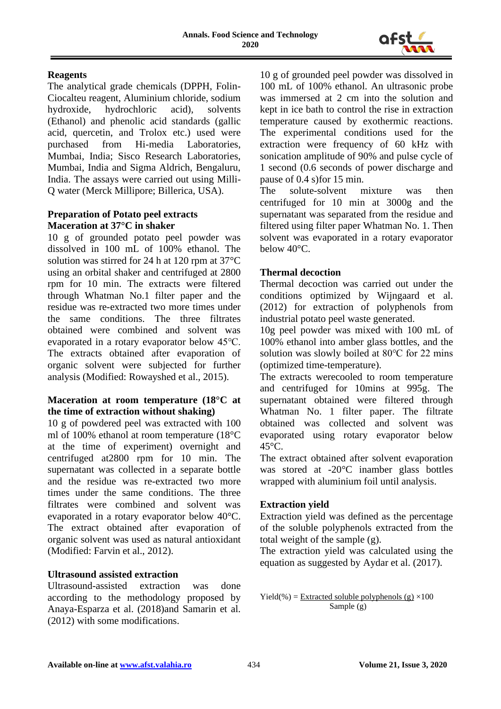

## **Reagents**

The analytical grade chemicals (DPPH, Folin-Ciocalteu reagent, Aluminium chloride, sodium hydroxide, hydrochloric acid), solvents (Ethanol) and phenolic acid standards (gallic acid, quercetin, and Trolox etc.) used were purchased from Hi-media Laboratories, Mumbai, India; Sisco Research Laboratories, Mumbai, India and Sigma Aldrich, Bengaluru, India. The assays were carried out using Milli-Q water (Merck Millipore; Billerica, USA).

### **Preparation of Potato peel extracts Maceration at 37°C in shaker**

10 g of grounded potato peel powder was dissolved in 100 mL of 100% ethanol. The solution was stirred for 24 h at 120 rpm at 37°C using an orbital shaker and centrifuged at 2800 rpm for 10 min. The extracts were filtered through Whatman No.1 filter paper and the residue was re-extracted two more times under the same conditions. The three filtrates obtained were combined and solvent was evaporated in a rotary evaporator below 45℃. The extracts obtained after evaporation of organic solvent were subjected for further analysis (Modified: Rowayshed et al., 2015).

#### **Maceration at room temperature (18°C at the time of extraction without shaking)**

10 g of powdered peel was extracted with 100 ml of 100% ethanol at room temperature (18°C at the time of experiment) overnight and centrifuged at2800 rpm for 10 min. The supernatant was collected in a separate bottle and the residue was re-extracted two more times under the same conditions. The three filtrates were combined and solvent was evaporated in a rotary evaporator below 40°C. The extract obtained after evaporation of organic solvent was used as natural antioxidant (Modified: Farvin et al., 2012).

## **Ultrasound assisted extraction**

Ultrasound-assisted extraction was done according to the methodology proposed by Anaya-Esparza et al. (2018)and Samarin et al. (2012) with some modifications.

10 g of grounded peel powder was dissolved in 100 mL of 100% ethanol. An ultrasonic probe was immersed at 2 cm into the solution and kept in ice bath to control the rise in extraction temperature caused by exothermic reactions. The experimental conditions used for the extraction were frequency of 60 kHz with sonication amplitude of 90% and pulse cycle of 1 second (0.6 seconds of power discharge and pause of 0.4 s)for 15 min.

The solute-solvent mixture was then centrifuged for 10 min at 3000g and the supernatant was separated from the residue and filtered using filter paper Whatman No. 1. Then solvent was evaporated in a rotary evaporator below 40°C.

### **Thermal decoction**

Thermal decoction was carried out under the conditions optimized by Wijngaard et al. (2012) for extraction of polyphenols from industrial potato peel waste generated.

10g peel powder was mixed with 100 mL of 100% ethanol into amber glass bottles, and the solution was slowly boiled at 80℃ for 22 mins (optimized time-temperature).

The extracts werecooled to room temperature and centrifuged for 10mins at 995g. The supernatant obtained were filtered through Whatman No. 1 filter paper. The filtrate obtained was collected and solvent was evaporated using rotary evaporator below 45°C.

The extract obtained after solvent evaporation was stored at -20°C inamber glass bottles wrapped with aluminium foil until analysis.

## **Extraction yield**

Extraction yield was defined as the percentage of the soluble polyphenols extracted from the total weight of the sample (g).

The extraction yield was calculated using the equation as suggested by Aydar et al. (2017).

Yield(%) = Extracted soluble polyphenols (g)  $\times 100$ Sample (g)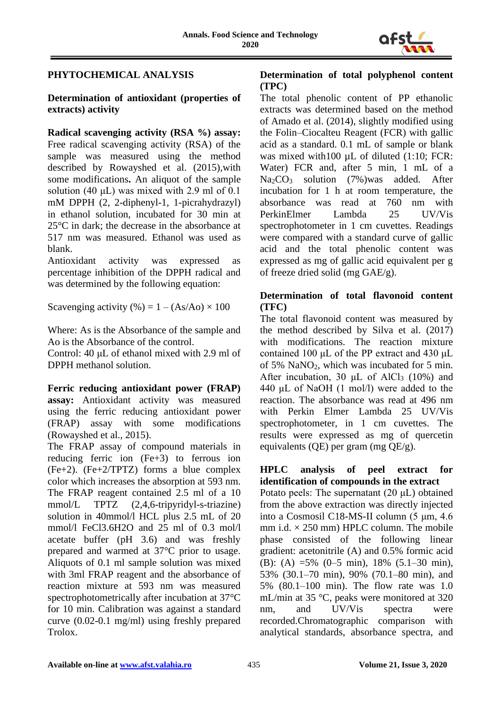

# **PHYTOCHEMICAL ANALYSIS**

### **Determination of antioxidant (properties of extracts) activity**

**Radical scavenging activity (RSA %) assay:**  Free radical scavenging activity (RSA) of the sample was measured using the method described by Rowayshed et al. (2015)*,*with some modifications**.** An aliquot of the sample solution (40 μL) was mixed with 2.9 ml of 0.1 mM DPPH (2, 2-diphenyl-1, 1-picrahydrazyl) in ethanol solution, incubated for 30 min at 25°C in dark; the decrease in the absorbance at 517 nm was measured. Ethanol was used as blank.

Antioxidant activity was expressed as percentage inhibition of the DPPH radical and was determined by the following equation:

Scavenging activity (%) =  $1 - (As/Ao) \times 100$ 

Where: As is the Absorbance of the sample and Ao is the Absorbance of the control.

Control: 40 μL of ethanol mixed with 2.9 ml of DPPH methanol solution.

**Ferric reducing antioxidant power (FRAP) assay:** Antioxidant activity was measured using the ferric reducing antioxidant power (FRAP) assay with some modifications (Rowayshed et al., 2015).

The FRAP assay of compound materials in reducing ferric ion (Fe+3) to ferrous ion (Fe+2). (Fe+2/TPTZ) forms a blue complex color which increases the absorption at 593 nm. The FRAP reagent contained 2.5 ml of a 10 mmol/L TPTZ (2,4,6-tripyridyl-s-triazine) solution in 40mmol/l HCL plus 2.5 mL of 20 mmol/l FeCl3.6H2O and 25 ml of 0.3 mol/l acetate buffer (pH 3.6) and was freshly prepared and warmed at 37°C prior to usage. Aliquots of 0.1 ml sample solution was mixed with 3ml FRAP reagent and the absorbance of reaction mixture at 593 nm was measured spectrophotometrically after incubation at 37°C for 10 min. Calibration was against a standard curve (0.02-0.1 mg/ml) using freshly prepared Trolox.

#### **Determination of total polyphenol content (TPC)**

The total phenolic content of PP ethanolic extracts was determined based on the method of Amado et al. (2014), slightly modified using the Folin–Ciocalteu Reagent (FCR) with gallic acid as a standard. 0.1 mL of sample or blank was mixed with100  $\mu$ L of diluted (1:10; FCR: Water) FCR and, after 5 min, 1 mL of a Na2CO<sup>3</sup> solution (7%)was added. After incubation for 1 h at room temperature, the absorbance was read at 760 nm with PerkinElmer Lambda 25 UV/Vis spectrophotometer in 1 cm cuvettes. Readings were compared with a standard curve of gallic acid and the total phenolic content was expressed as mg of gallic acid equivalent per g of freeze dried solid (mg GAE/g).

# **Determination of total flavonoid content (TFC)**

The total flavonoid content was measured by the method described by Silva et al. (2017) with modifications. The reaction mixture contained 100 μL of the PP extract and 430 μL of 5% NaNO2, which was incubated for 5 min. After incubation, 30  $\mu$ L of AlCl<sub>3</sub> (10%) and 440 μL of NaOH (1 mol/l) were added to the reaction. The absorbance was read at 496 nm with Perkin Elmer Lambda 25 UV/Vis spectrophotometer, in 1 cm cuvettes. The results were expressed as mg of quercetin equivalents (QE) per gram (mg QE/g).

### **HPLC analysis of peel extract for identification of compounds in the extract**

Potato peels: The supernatant (20 μL) obtained from the above extraction was directly injected into a Cosmosil C18-MS-II column (5 μm, 4.6 mm i.d.  $\times$  250 mm) HPLC column. The mobile phase consisted of the following linear gradient: acetonitrile (A) and 0.5% formic acid (B): (A) =5% (0–5 min), 18% (5.1–30 min), 53% (30.1–70 min), 90% (70.1–80 min), and 5% (80.1–100 min). The flow rate was 1.0 mL/min at 35 °C, peaks were monitored at 320 nm, and UV/Vis spectra were recorded.Chromatographic comparison with analytical standards, absorbance spectra, and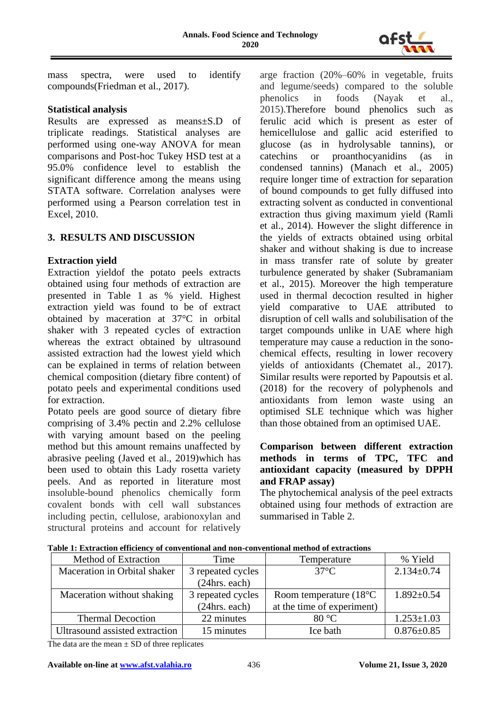

mass spectra, were used to identify compounds(Friedman et al., 2017).

#### **Statistical analysis**

Results are expressed as means±S.D of triplicate readings. Statistical analyses are performed using one-way ANOVA for mean comparisons and Post-hoc Tukey HSD test at a 95.0% confidence level to establish the significant difference among the means using STATA software. Correlation analyses were performed using a Pearson correlation test in Excel, 2010.

### **3. RESULTS AND DISCUSSION**

### **Extraction yield**

Extraction yieldof the potato peels extracts obtained using four methods of extraction are presented in Table 1 as % yield. Highest extraction yield was found to be of extract obtained by maceration at 37°C in orbital shaker with 3 repeated cycles of extraction whereas the extract obtained by ultrasound assisted extraction had the lowest yield which can be explained in terms of relation between chemical composition (dietary fibre content) of potato peels and experimental conditions used for extraction.

Potato peels are good source of dietary fibre comprising of 3.4% pectin and 2.2% cellulose with varying amount based on the peeling method but this amount remains unaffected by abrasive peeling (Javed et al., 2019)which has been used to obtain this Lady rosetta variety peels. And as reported in literature most insoluble-bound phenolics chemically form covalent bonds with cell wall substances including pectin, cellulose, arabionoxylan and structural proteins and account for relatively

arge fraction (20%–60% in vegetable, fruits and legume/seeds) compared to the soluble phenolics in foods (Nayak et al., 2015).Therefore bound phenolics such as ferulic acid which is present as ester of hemicellulose and gallic acid esterified to glucose (as in hydrolysable tannins), or catechins or proanthocyanidins (as in condensed tannins) (Manach et al., 2005) require longer time of extraction for separation of bound compounds to get fully diffused into extracting solvent as conducted in conventional extraction thus giving maximum yield (Ramli et al., 2014). However the slight difference in the yields of extracts obtained using orbital shaker and without shaking is due to increase in mass transfer rate of solute by greater turbulence generated by shaker (Subramaniam et al., 2015). Moreover the high temperature used in thermal decoction resulted in higher yield comparative to UAE attributed to disruption of cell walls and solubilisation of the target compounds unlike in UAE where high temperature may cause a reduction in the sonochemical effects, resulting in lower recovery yields of antioxidants (Chematet al., 2017). Similar results were reported by Papoutsis et al. (2018) for the recovery of polyphenols and antioxidants from lemon waste using an optimised SLE technique which was higher than those obtained from an optimised UAE.

#### **Comparison between different extraction methods in terms of TPC, TFC and antioxidant capacity (measured by DPPH and FRAP assay)**

The phytochemical analysis of the peel extracts obtained using four methods of extraction are summarised in Table 2.

| Method of Extraction           | Time              | Temperature                      | % Yield          |
|--------------------------------|-------------------|----------------------------------|------------------|
| Maceration in Orbital shaker   | 3 repeated cycles | $37^{\circ}$ C                   | $2.134 \pm 0.74$ |
|                                | (24hrs. each)     |                                  |                  |
| Maceration without shaking     | 3 repeated cycles | Room temperature $(18^{\circ}C)$ | $1.892 \pm 0.54$ |
|                                | (24hrs. each)     | at the time of experiment)       |                  |
| <b>Thermal Decoction</b>       | 22 minutes        | 80 °C                            | $1.253 \pm 1.03$ |
| Ultrasound assisted extraction | 15 minutes        | Ice bath                         | $0.876 \pm 0.85$ |

**Table 1: Extraction efficiency of conventional and non-conventional method of extractions**

The data are the mean  $\pm$  SD of three replicates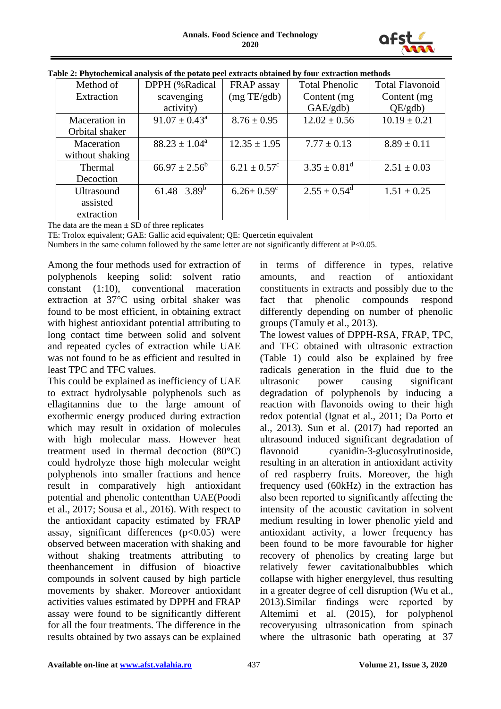

| Method of         | DPPH (%Radical           | FRAP assay                   | <b>Total Phenolic</b>        | <b>Total Flavonoid</b> |
|-------------------|--------------------------|------------------------------|------------------------------|------------------------|
| Extraction        | scavenging               | (mg TE/gdb)                  | Content (mg)                 | Content (mg)           |
|                   | activity)                |                              | GAE/gdb                      | QE/gdb                 |
| Maceration in     | $91.07 \pm 0.43^{\circ}$ | $8.76 \pm 0.95$              | $12.02 \pm 0.56$             | $10.19 \pm 0.21$       |
| Orbital shaker    |                          |                              |                              |                        |
| Maceration        | $88.23 \pm 1.04^a$       | $12.35 \pm 1.95$             | $7.77 \pm 0.13$              | $8.89 \pm 0.11$        |
| without shaking   |                          |                              |                              |                        |
| Thermal           | $66.97 \pm 2.56^b$       | $6.21 \pm 0.57^{\circ}$      | $3.35 \pm 0.81$ <sup>d</sup> | $2.51 \pm 0.03$        |
| Decoction         |                          |                              |                              |                        |
| <b>Ultrasound</b> | 61.48 3.89 <sup>b</sup>  | $6.26 \pm 0.59$ <sup>c</sup> | $2.55 \pm 0.54^{\text{d}}$   | $1.51 \pm 0.25$        |
| assisted          |                          |                              |                              |                        |
| extraction        |                          |                              |                              |                        |

| Table 2: Phytochemical analysis of the potato peel extracts obtained by four extraction methods |  |  |
|-------------------------------------------------------------------------------------------------|--|--|
|                                                                                                 |  |  |

The data are the mean  $\pm$  SD of three replicates

TE: Trolox equivalent; GAE: Gallic acid equivalent; QE: Quercetin equivalent

Numbers in the same column followed by the same letter are not significantly different at P<0.05.

Among the four methods used for extraction of polyphenols keeping solid: solvent ratio constant (1:10), conventional maceration extraction at 37°C using orbital shaker was found to be most efficient, in obtaining extract with highest antioxidant potential attributing to long contact time between solid and solvent and repeated cycles of extraction while UAE was not found to be as efficient and resulted in least TPC and TFC values.

This could be explained as inefficiency of UAE to extract hydrolysable polyphenols such as ellagitannins due to the large amount of exothermic energy produced during extraction which may result in oxidation of molecules with high molecular mass. However heat treatment used in thermal decoction (80°C) could hydrolyze those high molecular weight polyphenols into smaller fractions and hence result in comparatively high antioxidant potential and phenolic contentthan UAE(Poodi et al., 2017; Sousa et al., 2016). With respect to the antioxidant capacity estimated by FRAP assay, significant differences  $(p<0.05)$  were observed between maceration with shaking and without shaking treatments attributing to theenhancement in diffusion of bioactive compounds in solvent caused by high particle movements by shaker. Moreover antioxidant activities values estimated by DPPH and FRAP assay were found to be significantly different for all the four treatments. The difference in the results obtained by two assays can be explained in terms of difference in types, relative amounts, and reaction of antioxidant constituents in extracts and possibly due to the fact that phenolic compounds respond differently depending on number of phenolic groups (Tamuly et al., 2013).

The lowest values of DPPH-RSA, FRAP, TPC, and TFC obtained with ultrasonic extraction (Table 1) could also be explained by free radicals generation in the fluid due to the ultrasonic power causing significant degradation of polyphenols by inducing a reaction with flavonoids owing to their high redox potential (Ignat et al., 2011; Da Porto et al., 2013). Sun et al. (2017) had reported an ultrasound induced significant degradation of flavonoid cyanidin-3-glucosylrutinoside, resulting in an alteration in antioxidant activity of red raspberry fruits. Moreover, the high frequency used (60kHz) in the extraction has also been reported to significantly affecting the intensity of the acoustic cavitation in solvent medium resulting in lower phenolic yield and antioxidant activity, a lower frequency has been found to be more favourable for higher recovery of phenolics by creating large but relatively fewer cavitationalbubbles which collapse with higher energylevel, thus resulting in a greater degree of cell disruption (Wu et al., 2013).Similar findings were reported by Altemimi et al. (2015), for polyphenol recoveryusing ultrasonication from spinach where the ultrasonic bath operating at 37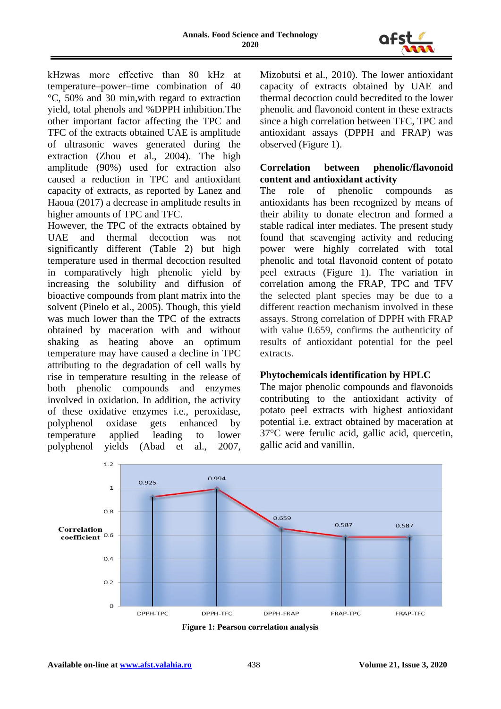

kHzwas more effective than 80 kHz at temperature–power–time combination of 40 °C, 50% and 30 min,with regard to extraction yield, total phenols and %DPPH inhibition.The other important factor affecting the TPC and TFC of the extracts obtained UAE is amplitude of ultrasonic waves generated during the extraction (Zhou et al., 2004). The high amplitude (90%) used for extraction also caused a reduction in TPC and antioxidant capacity of extracts, as reported by Lanez and Haoua (2017) a decrease in amplitude results in higher amounts of TPC and TFC.

However, the TPC of the extracts obtained by UAE and thermal decoction was not significantly different (Table 2) but high temperature used in thermal decoction resulted in comparatively high phenolic yield by increasing the solubility and diffusion of bioactive compounds from plant matrix into the solvent (Pinelo et al., 2005). Though, this yield was much lower than the TPC of the extracts obtained by maceration with and without shaking as heating above an optimum temperature may have caused a decline in TPC attributing to the degradation of cell walls by rise in temperature resulting in the release of both phenolic compounds and enzymes involved in oxidation. In addition, the activity of these oxidative enzymes i.e., peroxidase, polyphenol oxidase gets enhanced by temperature applied leading to lower polyphenol yields (Abad et al., 2007, Mizobutsi et al., 2010). The lower antioxidant capacity of extracts obtained by UAE and thermal decoction could becredited to the lower phenolic and flavonoid content in these extracts since a high correlation between TFC, TPC and antioxidant assays (DPPH and FRAP) was observed (Figure 1).

## **Correlation between phenolic/flavonoid content and antioxidant activity**

The role of phenolic compounds as antioxidants has been recognized by means of their ability to donate electron and formed a stable radical inter mediates. The present study found that scavenging activity and reducing power were highly correlated with total phenolic and total flavonoid content of potato peel extracts (Figure 1). The variation in correlation among the FRAP, TPC and TFV the selected plant species may be due to a different reaction mechanism involved in these assays. Strong correlation of DPPH with FRAP with value 0.659, confirms the authenticity of results of antioxidant potential for the peel extracts.

## **Phytochemicals identification by HPLC**

The major phenolic compounds and flavonoids contributing to the antioxidant activity of potato peel extracts with highest antioxidant potential i.e. extract obtained by maceration at 37°C were ferulic acid, gallic acid, quercetin, gallic acid and vanillin.



**Figure 1: Pearson correlation analysis**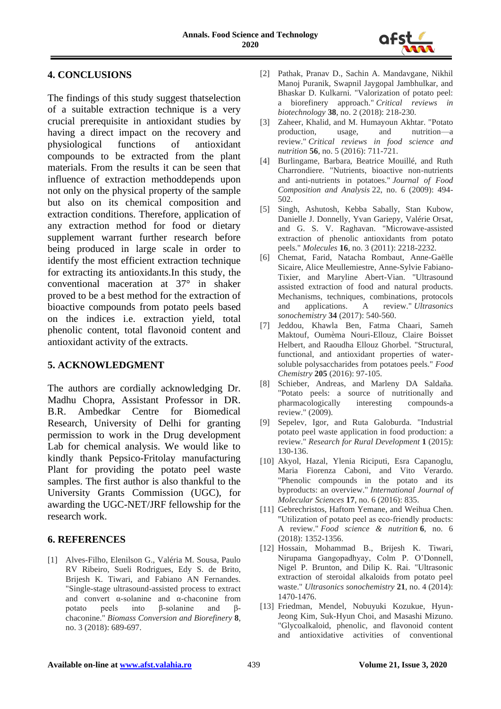

# **4. CONCLUSIONS**

The findings of this study suggest thatselection of a suitable extraction technique is a very crucial prerequisite in antioxidant studies by having a direct impact on the recovery and physiological functions of antioxidant compounds to be extracted from the plant materials. From the results it can be seen that influence of extraction methoddepends upon not only on the physical property of the sample but also on its chemical composition and extraction conditions. Therefore, application of any extraction method for food or dietary supplement warrant further research before being produced in large scale in order to identify the most efficient extraction technique for extracting its antioxidants.In this study, the conventional maceration at 37° in shaker proved to be a best method for the extraction of bioactive compounds from potato peels based on the indices i.e. extraction yield, total phenolic content, total flavonoid content and antioxidant activity of the extracts.

#### **5. ACKNOWLEDGMENT**

The authors are cordially acknowledging Dr. Madhu Chopra, Assistant Professor in DR. B.R. Ambedkar Centre for Biomedical Research, University of Delhi for granting permission to work in the Drug development Lab for chemical analysis. We would like to kindly thank Pepsico-Fritolay manufacturing Plant for providing the potato peel waste samples. The first author is also thankful to the University Grants Commission (UGC), for awarding the UGC-NET/JRF fellowship for the research work.

#### **6. REFERENCES**

[1] Alves-Filho, Elenilson G., Valéria M. Sousa, Paulo RV Ribeiro, Sueli Rodrigues, Edy S. de Brito, Brijesh K. Tiwari, and Fabiano AN Fernandes. "Single-stage ultrasound-assisted process to extract and convert α-solanine and α-chaconine from potato peels into β-solanine and βchaconine." *Biomass Conversion and Biorefinery* **8**, no. 3 (2018): 689-697.

- [2] Pathak, Pranav D., Sachin A. Mandavgane, Nikhil Manoj Puranik, Swapnil Jaygopal Jambhulkar, and Bhaskar D. Kulkarni. "Valorization of potato peel: a biorefinery approach." *Critical reviews in biotechnology* **38**, no. 2 (2018): 218-230.
- [3] Zaheer, Khalid, and M. Humayoun Akhtar. "Potato production, usage, and nutrition—a review." *Critical reviews in food science and nutrition* **56**, no. 5 (2016): 711-721.
- [4] Burlingame, Barbara, Beatrice Mouillé, and Ruth Charrondiere. "Nutrients, bioactive non-nutrients and anti-nutrients in potatoes." *Journal of Food Composition and Analysis* 22, no. 6 (2009): 494- 502.
- [5] Singh, Ashutosh, Kebba Sabally, Stan Kubow, Danielle J. Donnelly, Yvan Gariepy, Valérie Orsat, and G. S. V. Raghavan. "Microwave-assisted extraction of phenolic antioxidants from potato peels." *Molecules* **16**, no. 3 (2011): 2218-2232.
- [6] Chemat, Farid, Natacha Rombaut, Anne-Gaëlle Sicaire, Alice Meullemiestre, Anne-Sylvie Fabiano-Tixier, and Maryline Abert-Vian. "Ultrasound assisted extraction of food and natural products. Mechanisms, techniques, combinations, protocols and applications. A review." *Ultrasonics sonochemistry* **34** (2017): 540-560.
- [7] Jeddou, Khawla Ben, Fatma Chaari, Sameh Maktouf, Oumèma Nouri-Ellouz, Claire Boisset Helbert, and Raoudha Ellouz Ghorbel. "Structural, functional, and antioxidant properties of watersoluble polysaccharides from potatoes peels." *Food Chemistry* **205** (2016): 97-105.
- [8] Schieber, Andreas, and Marleny DA Saldaña. "Potato peels: a source of nutritionally and pharmacologically interesting compounds-a review." (2009).
- [9] Sepelev, Igor, and Ruta Galoburda. "Industrial potato peel waste application in food production: a review." *Research for Rural Development* **1** (2015): 130-136.
- [10] Akyol, Hazal, Ylenia Riciputi, Esra Capanoglu, Maria Fiorenza Caboni, and Vito Verardo. "Phenolic compounds in the potato and its byproducts: an overview." *International Journal of Molecular Sciences* **17**, no. 6 (2016): 835.
- [11] Gebrechristos, Haftom Yemane, and Weihua Chen. "Utilization of potato peel as eco-friendly products: A review." *Food science & nutrition* **6**, no. 6 (2018): 1352-1356.
- [12] Hossain, Mohammad B., Brijesh K. Tiwari, Nirupama Gangopadhyay, Colm P. O'Donnell, Nigel P. Brunton, and Dilip K. Rai. "Ultrasonic extraction of steroidal alkaloids from potato peel waste." *Ultrasonics sonochemistry* **21**, no. 4 (2014): 1470-1476.
- [13] Friedman, Mendel, Nobuyuki Kozukue, Hyun-Jeong Kim, Suk-Hyun Choi, and Masashi Mizuno. "Glycoalkaloid, phenolic, and flavonoid content and antioxidative activities of conventional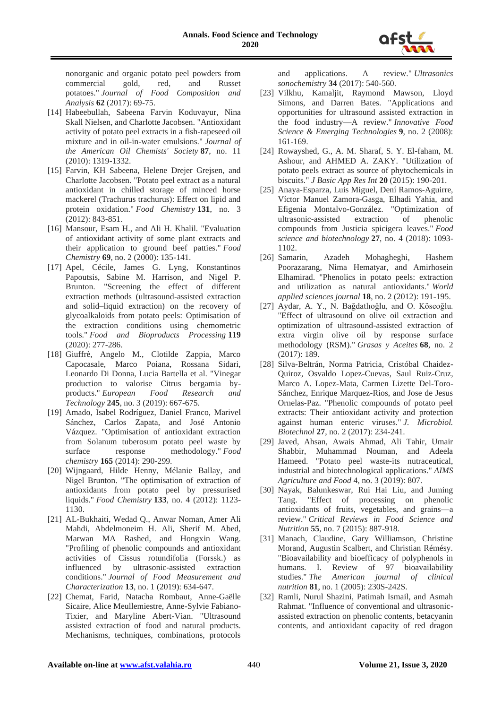

nonorganic and organic potato peel powders from commercial gold, red, and Russet potatoes." *Journal of Food Composition and Analysis* **62** (2017): 69-75.

- [14] Habeebullah, Sabeena Farvin Koduvayur, Nina Skall Nielsen, and Charlotte Jacobsen. "Antioxidant activity of potato peel extracts in a fish-rapeseed oil mixture and in oil-in-water emulsions." *Journal of the American Oil Chemists' Society* **87**, no. 11 (2010): 1319-1332.
- [15] Farvin, KH Sabeena, Helene Drejer Grejsen, and Charlotte Jacobsen. "Potato peel extract as a natural antioxidant in chilled storage of minced horse mackerel (Trachurus trachurus): Effect on lipid and protein oxidation." *Food Chemistry* **131**, no. 3 (2012): 843-851.
- [16] Mansour, Esam H., and Ali H. Khalil. "Evaluation of antioxidant activity of some plant extracts and their application to ground beef patties." *Food Chemistry* **69**, no. 2 (2000): 135-141.
- [17] Apel, Cécile, James G. Lyng, Konstantinos Papoutsis, Sabine M. Harrison, and Nigel P. Brunton. "Screening the effect of different extraction methods (ultrasound-assisted extraction and solid–liquid extraction) on the recovery of glycoalkaloids from potato peels: Optimisation of the extraction conditions using chemometric tools." *Food and Bioproducts Processing* **119**  (2020): 277-286.
- [18] Giuffrè, Angelo M., Clotilde Zappia, Marco Capocasale, Marco Poiana, Rossana Sidari, Leonardo Di Donna, Lucia Bartella et al. "Vinegar production to valorise Citrus bergamia byproducts." *European Food Research and Technology* **245**, no. 3 (2019): 667-675.
- [19] Amado, Isabel Rodríguez, Daniel Franco, Marivel Sánchez, Carlos Zapata, and José Antonio Vázquez. "Optimisation of antioxidant extraction from Solanum tuberosum potato peel waste by surface response methodology." *Food chemistry* **165** (2014): 290-299.
- [20] Wijngaard, Hilde Henny, Mélanie Ballay, and Nigel Brunton. "The optimisation of extraction of antioxidants from potato peel by pressurised liquids." *Food Chemistry* **133**, no. 4 (2012): 1123- 1130.
- [21] AL-Bukhaiti, Wedad Q., Anwar Noman, Amer Ali Mahdi, Abdelmoneim H. Ali, Sherif M. Abed, Marwan MA Rashed, and Hongxin Wang. "Profiling of phenolic compounds and antioxidant activities of Cissus rotundifolia (Forssk.) as influenced by ultrasonic-assisted extraction conditions." *Journal of Food Measurement and Characterization* **13**, no. 1 (2019): 634-647.
- [22] Chemat, Farid, Natacha Rombaut, Anne-Gaëlle Sicaire, Alice Meullemiestre, Anne-Sylvie Fabiano-Tixier, and Maryline Abert-Vian. "Ultrasound assisted extraction of food and natural products. Mechanisms, techniques, combinations, protocols

and applications. A review." *Ultrasonics sonochemistry* **34** (2017): 540-560.

- [23] Vilkhu, Kamaljit, Raymond Mawson, Lloyd Simons, and Darren Bates. "Applications and opportunities for ultrasound assisted extraction in the food industry—A review." *Innovative Food Science & Emerging Technologies* **9**, no. 2 (2008): 161-169.
- [24] Rowayshed, G., A. M. Sharaf, S. Y. El-faham, M. Ashour, and AHMED A. ZAKY. "Utilization of potato peels extract as source of phytochemicals in biscuits." *J Basic App Res Int* **20** (2015): 190-201.
- [25] Anaya-Esparza, Luis Miguel, Dení Ramos-Aguirre, Víctor Manuel Zamora-Gasga, Elhadi Yahia, and Efigenia Montalvo-González. "Optimization of ultrasonic-assisted extraction of compounds from Justicia spicigera leaves." *Food science and biotechnology* **27**, no. 4 (2018): 1093- 1102.
- [26] Samarin, Azadeh Mohagheghi, Hashem Poorazarang, Nima Hematyar, and Amirhosein Elhamirad. "Phenolics in potato peels: extraction and utilization as natural antioxidants." *World applied sciences journal* **18**, no. 2 (2012): 191-195.
- [27] Aydar, A. Y., N. Bağdatlıoğlu, and O. Köseoğlu. "Effect of ultrasound on olive oil extraction and optimization of ultrasound-assisted extraction of extra virgin olive oil by response surface methodology (RSM)." *Grasas y Aceites* **68**, no. 2 (2017): 189.
- [28] Silva-Beltrán, Norma Patricia, Cristóbal Chaidez-Quiroz, Osvaldo Lopez-Cuevas, Saul Ruiz-Cruz, Marco A. Lopez-Mata, Carmen Lizette Del-Toro-Sánchez, Enrique Marquez-Rios, and Jose de Jesus Ornelas-Paz. "Phenolic compounds of potato peel extracts: Their antioxidant activity and protection against human enteric viruses." *J. Microbiol. Biotechnol* **27**, no. 2 (2017): 234-241.
- [29] Javed, Ahsan, Awais Ahmad, Ali Tahir, Umair Shabbir, Muhammad Nouman, and Adeela Hameed. "Potato peel waste-its nutraceutical, industrial and biotechnological applications." *AIMS Agriculture and Food* 4, no. 3 (2019): 807.
- [30] Nayak, Balunkeswar, Rui Hai Liu, and Juming Tang. "Effect of processing on phenolic antioxidants of fruits, vegetables, and grains—a review." *Critical Reviews in Food Science and Nutrition* **55**, no. 7 (2015): 887-918.
- [31] Manach, Claudine, Gary Williamson, Christine Morand, Augustin Scalbert, and Christian Rémésy. "Bioavailability and bioefficacy of polyphenols in humans. I. Review of 97 bioavailability studies." *The American journal of clinical nutrition* **81**, no. 1 (2005): 230S-242S.
- [32] Ramli, Nurul Shazini, Patimah Ismail, and Asmah Rahmat. "Influence of conventional and ultrasonicassisted extraction on phenolic contents, betacyanin contents, and antioxidant capacity of red dragon